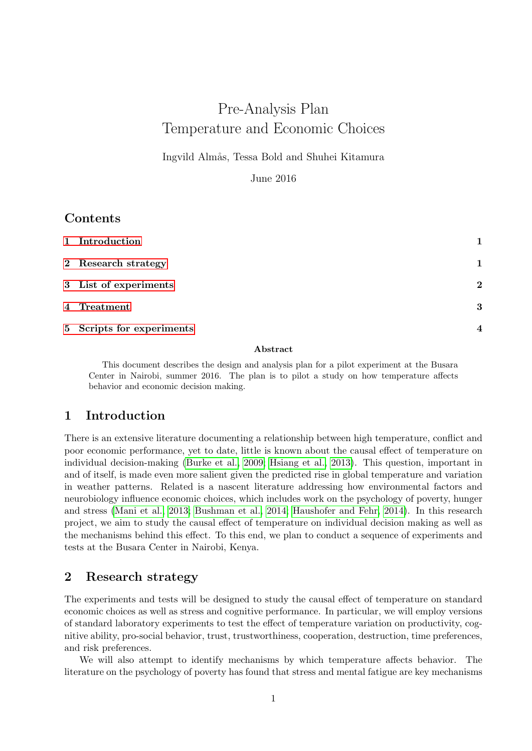# Pre-Analysis Plan Temperature and Economic Choices

Ingvild Almås, Tessa Bold and Shuhei Kitamura

June 2016

## Contents

| 1 Introduction            |                          |
|---------------------------|--------------------------|
| 2 Research strategy       | 1                        |
| 3 List of experiments     | $\mathbf 2$              |
|                           | 3                        |
| 5 Scripts for experiments | $\overline{\mathcal{A}}$ |

### Abstract

This document describes the design and analysis plan for a pilot experiment at the Busara Center in Nairobi, summer 2016. The plan is to pilot a study on how temperature affects behavior and economic decision making.

# <span id="page-0-0"></span>1 Introduction

There is an extensive literature documenting a relationship between high temperature, conflict and poor economic performance, yet to date, little is known about the causal effect of temperature on individual decision-making [\(Burke et al., 2009;](#page-7-0) [Hsiang et al., 2013\)](#page-7-1). This question, important in and of itself, is made even more salient given the predicted rise in global temperature and variation in weather patterns. Related is a nascent literature addressing how environmental factors and neurobiology influence economic choices, which includes work on the psychology of poverty, hunger and stress [\(Mani et al., 2013;](#page-7-2) [Bushman et al., 2014;](#page-7-3) [Haushofer and Fehr, 2014\)](#page-7-4). In this research project, we aim to study the causal effect of temperature on individual decision making as well as the mechanisms behind this effect. To this end, we plan to conduct a sequence of experiments and tests at the Busara Center in Nairobi, Kenya.

# <span id="page-0-1"></span>2 Research strategy

The experiments and tests will be designed to study the causal effect of temperature on standard economic choices as well as stress and cognitive performance. In particular, we will employ versions of standard laboratory experiments to test the effect of temperature variation on productivity, cognitive ability, pro-social behavior, trust, trustworthiness, cooperation, destruction, time preferences, and risk preferences.

We will also attempt to identify mechanisms by which temperature affects behavior. The literature on the psychology of poverty has found that stress and mental fatigue are key mechanisms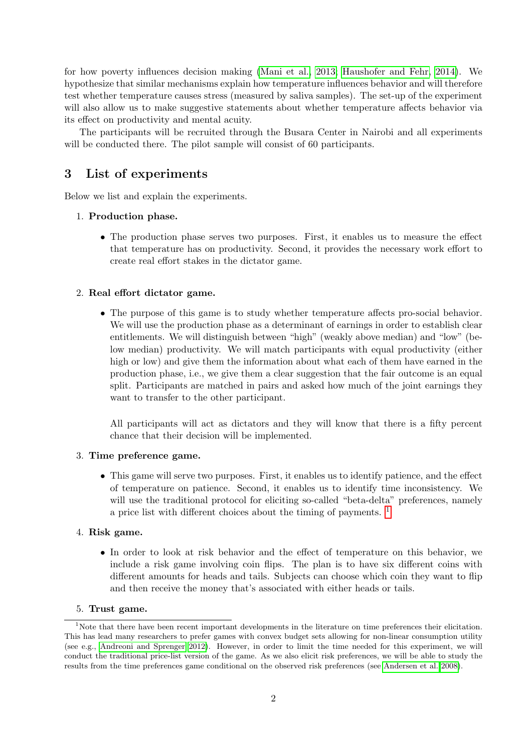for how poverty influences decision making [\(Mani et al., 2013;](#page-7-2) [Haushofer and Fehr, 2014\)](#page-7-4). We hypothesize that similar mechanisms explain how temperature influences behavior and will therefore test whether temperature causes stress (measured by saliva samples). The set-up of the experiment will also allow us to make suggestive statements about whether temperature affects behavior via its effect on productivity and mental acuity.

The participants will be recruited through the Busara Center in Nairobi and all experiments will be conducted there. The pilot sample will consist of 60 participants.

# <span id="page-1-0"></span>3 List of experiments

Below we list and explain the experiments.

### 1. Production phase.

• The production phase serves two purposes. First, it enables us to measure the effect that temperature has on productivity. Second, it provides the necessary work effort to create real effort stakes in the dictator game.

### 2. Real effort dictator game.

• The purpose of this game is to study whether temperature affects pro-social behavior. We will use the production phase as a determinant of earnings in order to establish clear entitlements. We will distinguish between "high" (weakly above median) and "low" (below median) productivity. We will match participants with equal productivity (either high or low) and give them the information about what each of them have earned in the production phase, i.e., we give them a clear suggestion that the fair outcome is an equal split. Participants are matched in pairs and asked how much of the joint earnings they want to transfer to the other participant.

All participants will act as dictators and they will know that there is a fifty percent chance that their decision will be implemented.

### 3. Time preference game.

• This game will serve two purposes. First, it enables us to identify patience, and the effect of temperature on patience. Second, it enables us to identify time inconsistency. We will use the traditional protocol for eliciting so-called "beta-delta" preferences, namely a price list with different choices about the timing of payments. [1](#page-1-1)

### 4. Risk game.

• In order to look at risk behavior and the effect of temperature on this behavior, we include a risk game involving coin flips. The plan is to have six different coins with different amounts for heads and tails. Subjects can choose which coin they want to flip and then receive the money that's associated with either heads or tails.

### <span id="page-1-1"></span>5. Trust game.

<sup>&</sup>lt;sup>1</sup>Note that there have been recent important developments in the literature on time preferences their elicitation. This has lead many researchers to prefer games with convex budget sets allowing for non-linear consumption utility (see e.g., [Andreoni and Sprenger 2012\)](#page-7-5). However, in order to limit the time needed for this experiment, we will conduct the traditional price-list version of the game. As we also elicit risk preferences, we will be able to study the results from the time preferences game conditional on the observed risk preferences (see [Andersen et al. 2008\)](#page-6-0).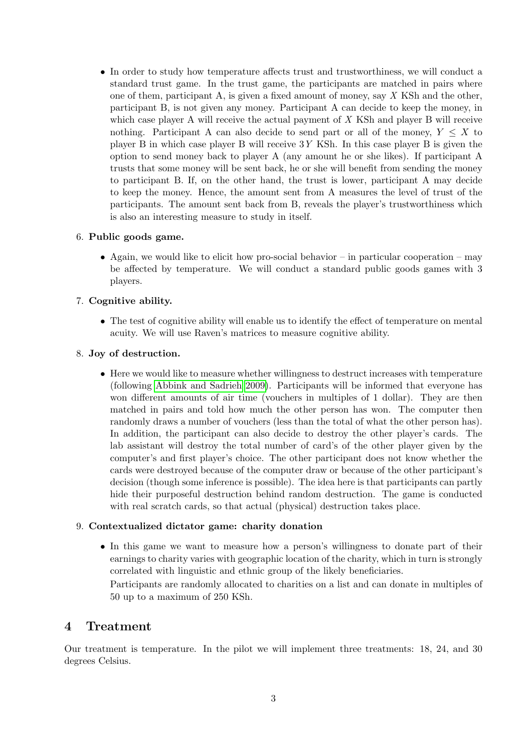• In order to study how temperature affects trust and trustworthiness, we will conduct a standard trust game. In the trust game, the participants are matched in pairs where one of them, participant A, is given a fixed amount of money, say  $X$  KSh and the other, participant B, is not given any money. Participant A can decide to keep the money, in which case player A will receive the actual payment of  $X$  KSh and player B will receive nothing. Participant A can also decide to send part or all of the money,  $Y \leq X$  to player B in which case player B will receive 3Y KSh. In this case player B is given the option to send money back to player A (any amount he or she likes). If participant A trusts that some money will be sent back, he or she will benefit from sending the money to participant B. If, on the other hand, the trust is lower, participant A may decide to keep the money. Hence, the amount sent from A measures the level of trust of the participants. The amount sent back from B, reveals the player's trustworthiness which is also an interesting measure to study in itself.

### 6. Public goods game.

• Again, we would like to elicit how pro-social behavior – in particular cooperation – may be affected by temperature. We will conduct a standard public goods games with 3 players.

### 7. Cognitive ability.

• The test of cognitive ability will enable us to identify the effect of temperature on mental acuity. We will use Raven's matrices to measure cognitive ability.

### 8. Joy of destruction.

• Here we would like to measure whether willingness to destruct increases with temperature (following [Abbink and Sadrieh 2009\)](#page-6-1). Participants will be informed that everyone has won different amounts of air time (vouchers in multiples of 1 dollar). They are then matched in pairs and told how much the other person has won. The computer then randomly draws a number of vouchers (less than the total of what the other person has). In addition, the participant can also decide to destroy the other player's cards. The lab assistant will destroy the total number of card's of the other player given by the computer's and first player's choice. The other participant does not know whether the cards were destroyed because of the computer draw or because of the other participant's decision (though some inference is possible). The idea here is that participants can partly hide their purposeful destruction behind random destruction. The game is conducted with real scratch cards, so that actual (physical) destruction takes place.

### 9. Contextualized dictator game: charity donation

• In this game we want to measure how a person's willingness to donate part of their earnings to charity varies with geographic location of the charity, which in turn is strongly correlated with linguistic and ethnic group of the likely beneficiaries.

Participants are randomly allocated to charities on a list and can donate in multiples of 50 up to a maximum of 250 KSh.

### <span id="page-2-0"></span>4 Treatment

Our treatment is temperature. In the pilot we will implement three treatments: 18, 24, and 30 degrees Celsius.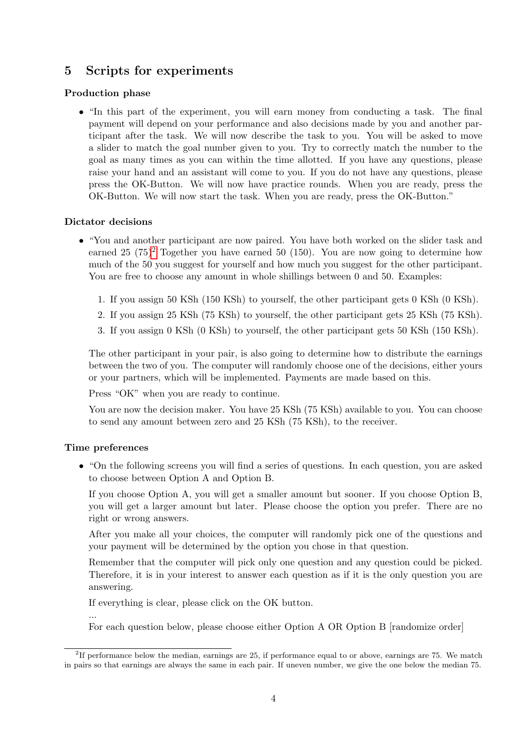# <span id="page-3-0"></span>5 Scripts for experiments

### Production phase

• "In this part of the experiment, you will earn money from conducting a task. The final payment will depend on your performance and also decisions made by you and another participant after the task. We will now describe the task to you. You will be asked to move a slider to match the goal number given to you. Try to correctly match the number to the goal as many times as you can within the time allotted. If you have any questions, please raise your hand and an assistant will come to you. If you do not have any questions, please press the OK-Button. We will now have practice rounds. When you are ready, press the OK-Button. We will now start the task. When you are ready, press the OK-Button."

### Dictator decisions

- "You and another participant are now paired. You have both worked on the slider task and earned [2](#page-3-1)5  $(75)^2$  Together you have earned 50 (150). You are now going to determine how much of the 50 you suggest for yourself and how much you suggest for the other participant. You are free to choose any amount in whole shillings between 0 and 50. Examples:
	- 1. If you assign 50 KSh (150 KSh) to yourself, the other participant gets 0 KSh (0 KSh).
	- 2. If you assign 25 KSh (75 KSh) to yourself, the other participant gets 25 KSh (75 KSh).
	- 3. If you assign 0 KSh (0 KSh) to yourself, the other participant gets 50 KSh (150 KSh).

The other participant in your pair, is also going to determine how to distribute the earnings between the two of you. The computer will randomly choose one of the decisions, either yours or your partners, which will be implemented. Payments are made based on this.

Press "OK" when you are ready to continue.

You are now the decision maker. You have 25 KSh (75 KSh) available to you. You can choose to send any amount between zero and 25 KSh (75 KSh), to the receiver.

### Time preferences

...

• "On the following screens you will find a series of questions. In each question, you are asked to choose between Option A and Option B.

If you choose Option A, you will get a smaller amount but sooner. If you choose Option B, you will get a larger amount but later. Please choose the option you prefer. There are no right or wrong answers.

After you make all your choices, the computer will randomly pick one of the questions and your payment will be determined by the option you chose in that question.

Remember that the computer will pick only one question and any question could be picked. Therefore, it is in your interest to answer each question as if it is the only question you are answering.

If everything is clear, please click on the OK button.

For each question below, please choose either Option A OR Option B [randomize order]

<span id="page-3-1"></span><sup>&</sup>lt;sup>2</sup>If performance below the median, earnings are 25, if performance equal to or above, earnings are 75. We match in pairs so that earnings are always the same in each pair. If uneven number, we give the one below the median 75.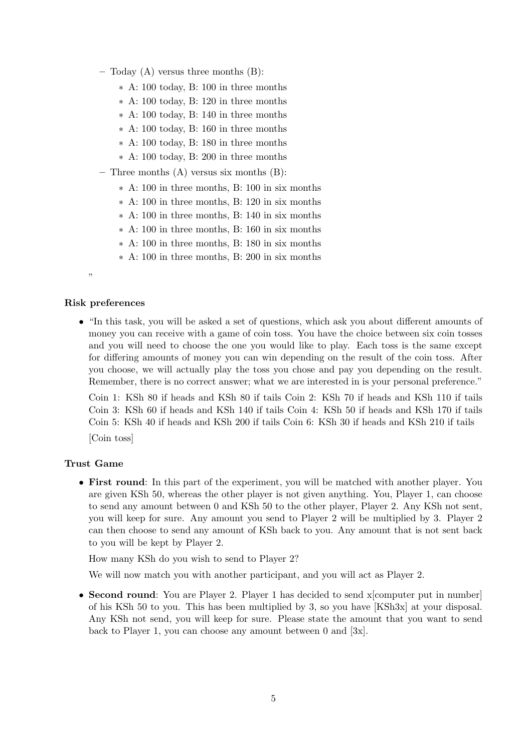- Today  $(A)$  versus three months  $(B)$ :
	- ∗ A: 100 today, B: 100 in three months
	- ∗ A: 100 today, B: 120 in three months
	- ∗ A: 100 today, B: 140 in three months
	- ∗ A: 100 today, B: 160 in three months
	- ∗ A: 100 today, B: 180 in three months
	- ∗ A: 100 today, B: 200 in three months
- Three months  $(A)$  versus six months  $(B)$ :
	- ∗ A: 100 in three months, B: 100 in six months
	- ∗ A: 100 in three months, B: 120 in six months
	- ∗ A: 100 in three months, B: 140 in six months
	- ∗ A: 100 in three months, B: 160 in six months
	- ∗ A: 100 in three months, B: 180 in six months
	- ∗ A: 100 in three months, B: 200 in six months

#### Risk preferences

• "In this task, you will be asked a set of questions, which ask you about different amounts of money you can receive with a game of coin toss. You have the choice between six coin tosses and you will need to choose the one you would like to play. Each toss is the same except for differing amounts of money you can win depending on the result of the coin toss. After you choose, we will actually play the toss you chose and pay you depending on the result. Remember, there is no correct answer; what we are interested in is your personal preference."

Coin 1: KSh 80 if heads and KSh 80 if tails Coin 2: KSh 70 if heads and KSh 110 if tails Coin 3: KSh 60 if heads and KSh 140 if tails Coin 4: KSh 50 if heads and KSh 170 if tails Coin 5: KSh 40 if heads and KSh 200 if tails Coin 6: KSh 30 if heads and KSh 210 if tails

[Coin toss]

### Trust Game

• First round: In this part of the experiment, you will be matched with another player. You are given KSh 50, whereas the other player is not given anything. You, Player 1, can choose to send any amount between 0 and KSh 50 to the other player, Player 2. Any KSh not sent, you will keep for sure. Any amount you send to Player 2 will be multiplied by 3. Player 2 can then choose to send any amount of KSh back to you. Any amount that is not sent back to you will be kept by Player 2.

How many KSh do you wish to send to Player 2?

We will now match you with another participant, and you will act as Player 2.

• Second round: You are Player 2. Player 1 has decided to send x computer put in number of his KSh 50 to you. This has been multiplied by 3, so you have [KSh3x] at your disposal. Any KSh not send, you will keep for sure. Please state the amount that you want to send back to Player 1, you can choose any amount between  $0$  and  $[3x]$ .

<sup>,,</sup>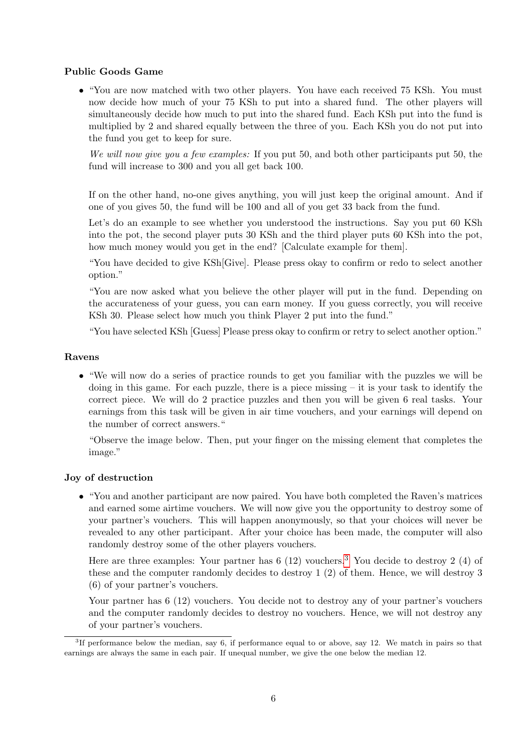### Public Goods Game

• "You are now matched with two other players. You have each received 75 KSh. You must now decide how much of your 75 KSh to put into a shared fund. The other players will simultaneously decide how much to put into the shared fund. Each KSh put into the fund is multiplied by 2 and shared equally between the three of you. Each KSh you do not put into the fund you get to keep for sure.

We will now give you a few examples: If you put 50, and both other participants put 50, the fund will increase to 300 and you all get back 100.

If on the other hand, no-one gives anything, you will just keep the original amount. And if one of you gives 50, the fund will be 100 and all of you get 33 back from the fund.

Let's do an example to see whether you understood the instructions. Say you put 60 KSh into the pot, the second player puts 30 KSh and the third player puts 60 KSh into the pot, how much money would you get in the end? [Calculate example for them].

"You have decided to give KSh[Give]. Please press okay to confirm or redo to select another option."

"You are now asked what you believe the other player will put in the fund. Depending on the accurateness of your guess, you can earn money. If you guess correctly, you will receive KSh 30. Please select how much you think Player 2 put into the fund."

"You have selected KSh [Guess] Please press okay to confirm or retry to select another option."

### Ravens

• "We will now do a series of practice rounds to get you familiar with the puzzles we will be doing in this game. For each puzzle, there is a piece missing  $-$  it is your task to identify the correct piece. We will do 2 practice puzzles and then you will be given 6 real tasks. Your earnings from this task will be given in air time vouchers, and your earnings will depend on the number of correct answers."

"Observe the image below. Then, put your finger on the missing element that completes the image."

### Joy of destruction

• "You and another participant are now paired. You have both completed the Raven's matrices and earned some airtime vouchers. We will now give you the opportunity to destroy some of your partner's vouchers. This will happen anonymously, so that your choices will never be revealed to any other participant. After your choice has been made, the computer will also randomly destroy some of the other players vouchers.

Here are three examples: Your partner has  $6(12)$  vouchers.<sup>[3](#page-5-0)</sup> You decide to destroy 2 (4) of these and the computer randomly decides to destroy 1 (2) of them. Hence, we will destroy 3 (6) of your partner's vouchers.

Your partner has 6 (12) vouchers. You decide not to destroy any of your partner's vouchers and the computer randomly decides to destroy no vouchers. Hence, we will not destroy any of your partner's vouchers.

<span id="page-5-0"></span><sup>&</sup>lt;sup>3</sup>If performance below the median, say 6, if performance equal to or above, say 12. We match in pairs so that earnings are always the same in each pair. If unequal number, we give the one below the median 12.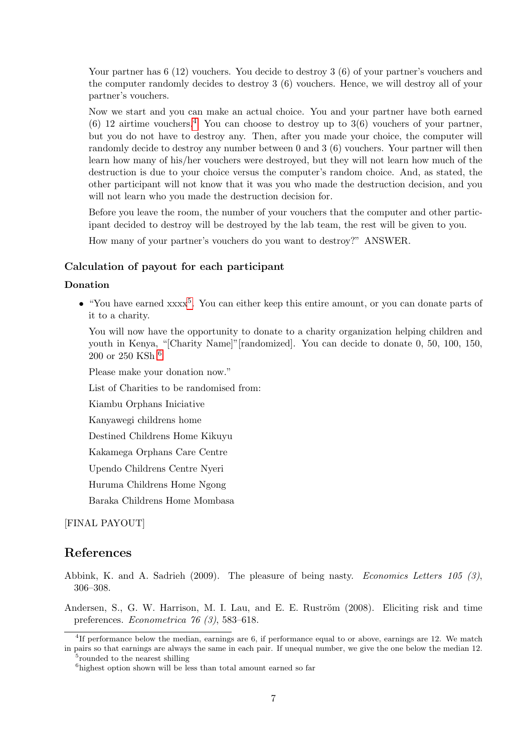Your partner has 6 (12) vouchers. You decide to destroy 3 (6) of your partner's vouchers and the computer randomly decides to destroy 3 (6) vouchers. Hence, we will destroy all of your partner's vouchers.

Now we start and you can make an actual choice. You and your partner have both earned (6) 12 airtime vouchers.<sup>[4](#page-6-2)</sup> You can choose to destroy up to  $3(6)$  vouchers of your partner, but you do not have to destroy any. Then, after you made your choice, the computer will randomly decide to destroy any number between 0 and 3 (6) vouchers. Your partner will then learn how many of his/her vouchers were destroyed, but they will not learn how much of the destruction is due to your choice versus the computer's random choice. And, as stated, the other participant will not know that it was you who made the destruction decision, and you will not learn who you made the destruction decision for.

Before you leave the room, the number of your vouchers that the computer and other participant decided to destroy will be destroyed by the lab team, the rest will be given to you.

How many of your partner's vouchers do you want to destroy?" ANSWER.

### Calculation of payout for each participant

#### Donation

• "You have earned xxxx<sup>[5](#page-6-3)</sup>. You can either keep this entire amount, or you can donate parts of it to a charity.

You will now have the opportunity to donate to a charity organization helping children and youth in Kenya, "[Charity Name]"[randomized]. You can decide to donate 0, 50, 100, 150, 200 or 250 KSh [6](#page-6-4)

Please make your donation now."

List of Charities to be randomised from:

Kiambu Orphans Iniciative

Kanyawegi childrens home

Destined Childrens Home Kikuyu

Kakamega Orphans Care Centre

Upendo Childrens Centre Nyeri

Huruma Childrens Home Ngong

Baraka Childrens Home Mombasa

### [FINAL PAYOUT]

### References

- <span id="page-6-1"></span>Abbink, K. and A. Sadrieh (2009). The pleasure of being nasty. Economics Letters 105 (3), 306–308.
- <span id="page-6-0"></span>Andersen, S., G. W. Harrison, M. I. Lau, and E. E. Ruström (2008). Eliciting risk and time preferences. Econometrica 76 (3), 583–618.

<span id="page-6-2"></span><sup>4</sup> If performance below the median, earnings are 6, if performance equal to or above, earnings are 12. We match in pairs so that earnings are always the same in each pair. If unequal number, we give the one below the median 12.

<span id="page-6-3"></span><sup>&</sup>lt;sup>5</sup> rounded to the nearest shilling

<span id="page-6-4"></span><sup>&</sup>lt;sup>6</sup>highest option shown will be less than total amount earned so far